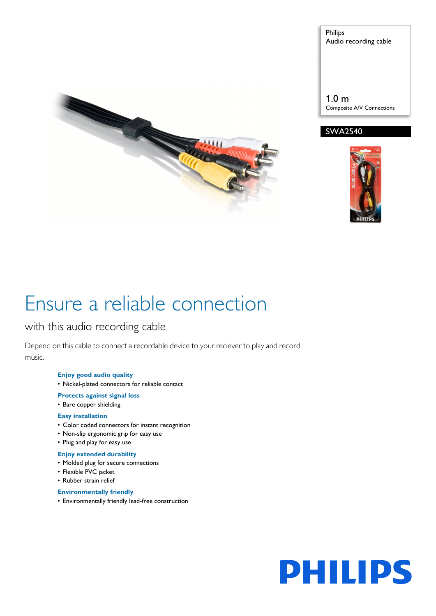

Philips Audio recording cable

1.0 m Composite A/V Connections





# Ensure a reliable connection

### with this audio recording cable

Depend on this cable to connect a recordable device to your reciever to play and record music.

### **Enjoy good audio quality**

- Nickel-plated connectors for reliable contact
- **Protects against signal loss**

### • Bare copper shielding

### **Easy installation**

- Color coded connectors for instant recognition
- Non-slip ergonomic grip for easy use
- Plug and play for easy use

### **Enjoy extended durability**

- Molded plug for secure connections
- Flexible PVC jacket
- Rubber strain relief

### **Environmentally friendly**

• Environmentally friendly lead-free construction